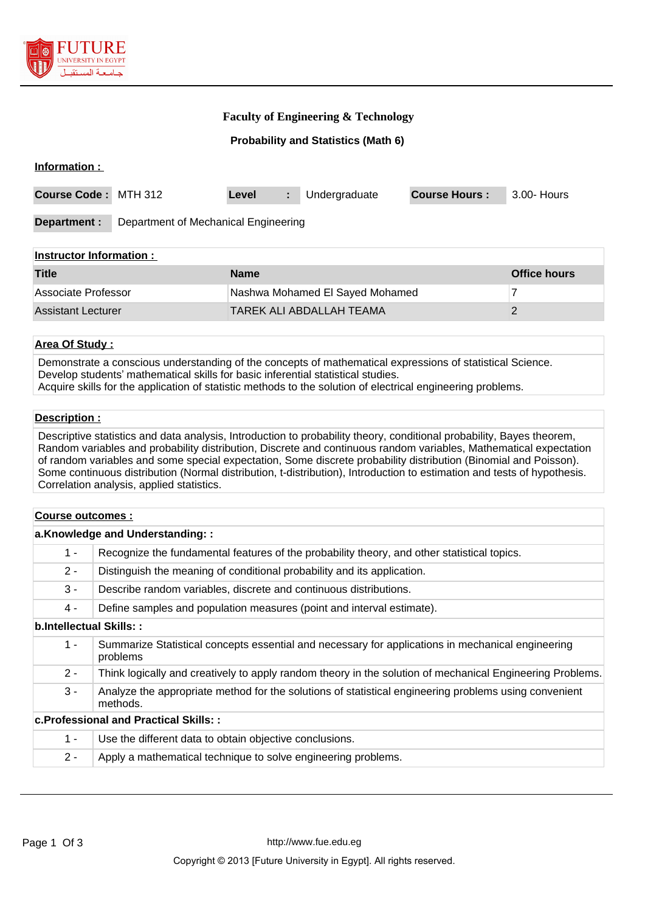

# **Faculty of Engineering & Technology**

### **Probability and Statistics (Math 6)**

### **Information :**

| <b>Course Code: MTH 312</b> |                                      | Level |  | Undergraduate | <b>Course Hours:</b> | 3.00- Hours |
|-----------------------------|--------------------------------------|-------|--|---------------|----------------------|-------------|
| Department :                | Department of Mechanical Engineering |       |  |               |                      |             |

### **Instructor Information :**

| <b>Title</b>        | <b>Name</b>                     | Office hours |
|---------------------|---------------------------------|--------------|
| Associate Professor | Nashwa Mohamed El Sayed Mohamed |              |
| Assistant Lecturer  | TAREK ALI ABDALLAH TEAMA        |              |

### **Area Of Study :**

Demonstrate a conscious understanding of the concepts of mathematical expressions of statistical Science. Develop students' mathematical skills for basic inferential statistical studies. Acquire skills for the application of statistic methods to the solution of electrical engineering problems.

#### **Description :**

Descriptive statistics and data analysis, Introduction to probability theory, conditional probability, Bayes theorem, Random variables and probability distribution, Discrete and continuous random variables, Mathematical expectation of random variables and some special expectation, Some discrete probability distribution (Binomial and Poisson). Some continuous distribution (Normal distribution, t-distribution), Introduction to estimation and tests of hypothesis. Correlation analysis, applied statistics.

# **Course outcomes : a.Knowledge and Understanding: :** 1 - Recognize the fundamental features of the probability theory, and other statistical topics. 2 - Distinguish the meaning of conditional probability and its application. 3 - Describe random variables, discrete and continuous distributions. 4 - Define samples and population measures (point and interval estimate). **b.Intellectual Skills: :** 1 - Summarize Statistical concepts essential and necessary for applications in mechanical engineering problems 2 - Think logically and creatively to apply random theory in the solution of mechanical Engineering Problems. 3 - Analyze the appropriate method for the solutions of statistical engineering problems using convenient methods. **c.Professional and Practical Skills: :** 1 - Use the different data to obtain objective conclusions. 2 - Apply a mathematical technique to solve engineering problems.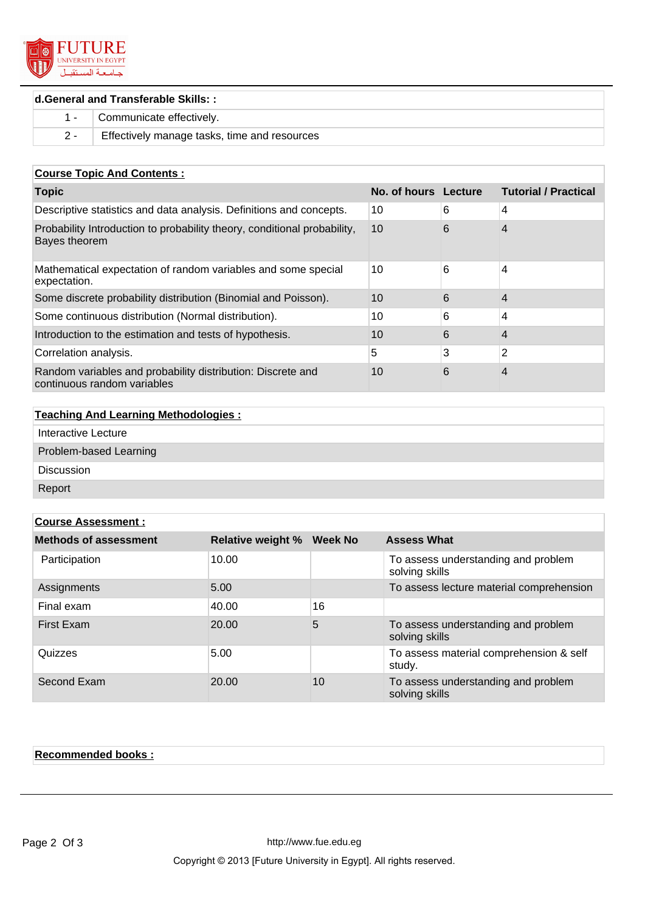

### **d.General and Transferable Skills: :**

|  | 1 -   Communicate effectively.                   |  |  |
|--|--------------------------------------------------|--|--|
|  | 2 - Effectively manage tasks, time and resources |  |  |

# **Course Topic And Contents :**

| <b>Topic</b>                                                                               | No. of hours Lecture |   | <b>Tutorial / Practical</b> |
|--------------------------------------------------------------------------------------------|----------------------|---|-----------------------------|
| Descriptive statistics and data analysis. Definitions and concepts.                        | 10                   | 6 | 4                           |
| Probability Introduction to probability theory, conditional probability,<br>Bayes theorem  | 10                   | 6 | 4                           |
| Mathematical expectation of random variables and some special<br>expectation.              | 10                   | 6 | 4                           |
| Some discrete probability distribution (Binomial and Poisson).                             | 10                   | 6 | 4                           |
| Some continuous distribution (Normal distribution).                                        | 10                   | 6 | 4                           |
| Introduction to the estimation and tests of hypothesis.                                    | 10                   | 6 | 4                           |
| Correlation analysis.                                                                      | 5                    | 3 | 2                           |
| Random variables and probability distribution: Discrete and<br>continuous random variables | 10                   | 6 | 4                           |

# **Teaching And Learning Methodologies :**

| Interactive Lecture    |
|------------------------|
| Problem-based Learning |
| Discussion             |
| Report                 |

# **Course Assessment :**

| <b>Methods of assessment</b> | <b>Relative weight %</b> | Week No | <b>Assess What</b>                                    |
|------------------------------|--------------------------|---------|-------------------------------------------------------|
| Participation                | 10.00                    |         | To assess understanding and problem<br>solving skills |
| Assignments                  | 5.00                     |         | To assess lecture material comprehension              |
| Final exam                   | 40.00                    | 16      |                                                       |
| First Exam                   | 20.00                    | 5       | To assess understanding and problem<br>solving skills |
| Quizzes                      | 5.00                     |         | To assess material comprehension & self<br>study.     |
| Second Exam                  | 20.00                    | 10      | To assess understanding and problem<br>solving skills |

# **Recommended books :**